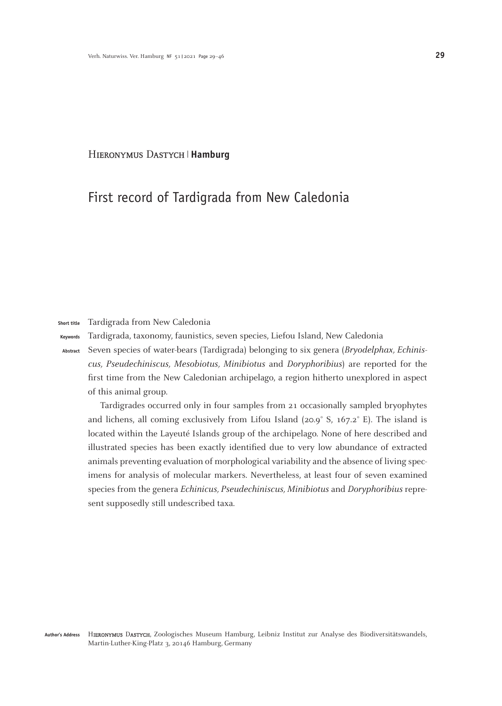#### Hieronymus Dastych **Hamburg**

# First record of Tardigrada from New Caledonia

#### Tardigrada from New Caledonia **Short title**

Tardigrada, taxonomy, faunistics, seven species, Liefou Island, New Caledonia **Keywords**

Seven species of water-bears (Tardigrada) belonging to six genera (*Bryodelphax, Echiniscus, Pseudechiniscus, Mesobiotus, Minibiotus* and *Doryphoribius*) are reported for the first time from the New Caledonian archipelago, a region hitherto unexplored in aspect of this animal group. **Abstract**

Tardigrades occurred only in four samples from 21 occasionally sampled bryophytes and lichens, all coming exclusively from Lifou Island (20.9° S, 167.2° E). The island is located within the Layeuté Islands group of the archipelago. None of here described and illustrated species has been exactly identified due to very low abundance of extracted animals preventing evaluation of morphological variability and the absence of living specimens for analysis of molecular markers. Nevertheless, at least four of seven examined species from the genera *Echinicus, Pseudechiniscus, Minibiotus* and *Doryphoribius* represent supposedly still undescribed taxa.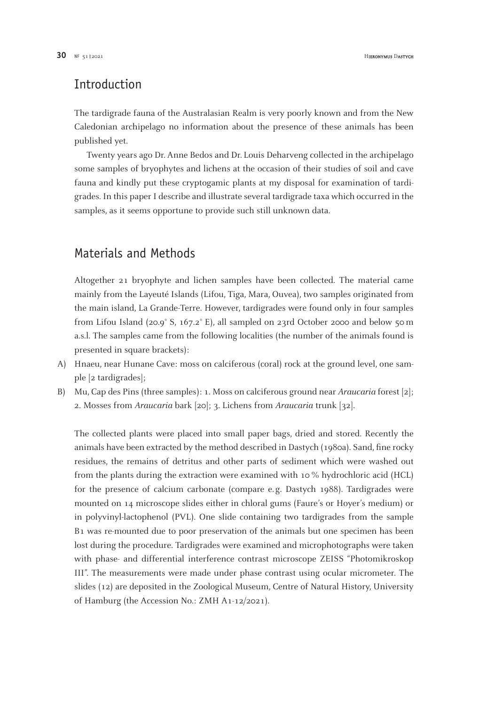# Introduction

The tardigrade fauna of the Australasian Realm is very poorly known and from the New Caledonian archipelago no information about the presence of these animals has been published yet.

Twenty years ago Dr. Anne Bedos and Dr. Louis Deharveng collected in the archipelago some samples of bryophytes and lichens at the occasion of their studies of soil and cave fauna and kindly put these cryptogamic plants at my disposal for examination of tardigrades. In this paper I describe and illustrate several tardigrade taxa which occurred in the samples, as it seems opportune to provide such still unknown data.

# Materials and Methods

Altogether 21 bryophyte and lichen samples have been collected. The material came mainly from the Layeuté Islands (Lifou, Tiga, Mara, Ouvea), two samples originated from the main island, La Grande-Terre. However, tardigrades were found only in four samples from Lifou Island (20.9° S, 167.2° E), all sampled on 23rd October 2000 and below 50 m a.s.l. The samples came from the following localities (the number of the animals found is presented in square brackets):

- Hnaeu, near Hunane Cave: moss on calciferous (coral) rock at the ground level, one sam-A) ple [2 tardigrades];
- Mu, Cap des Pins (three samples): 1. Moss on calciferous ground near *Araucaria* forest [2]; B)2. Mosses from *Araucaria* bark [20]; 3. Lichens from *Araucaria* trunk [32].

The collected plants were placed into small paper bags, dried and stored. Recently the animals have been extracted by the method described in Dastych (1980a). Sand, fine rocky residues, the remains of detritus and other parts of sediment which were washed out from the plants during the extraction were examined with 10 % hydrochloric acid (HCL) for the presence of calcium carbonate (compare e. g. Dastych 1988). Tardigrades were mounted on 14 microscope slides either in chloral gums (Faure's or Hoyer's medium) or in polyvinyl-lactophenol (PVL). One slide containing two tardigrades from the sample B1 was re-mounted due to poor preservation of the animals but one specimen has been lost during the procedure. Tardigrades were examined and microphotographs were taken with phase- and differential interference contrast microscope ZEISS "Photomikroskop III". The measurements were made under phase contrast using ocular micrometer. The slides (12) are deposited in the Zoological Museum, Centre of Natural History, University of Hamburg (the Accession No.: ZMH A1-12/2021).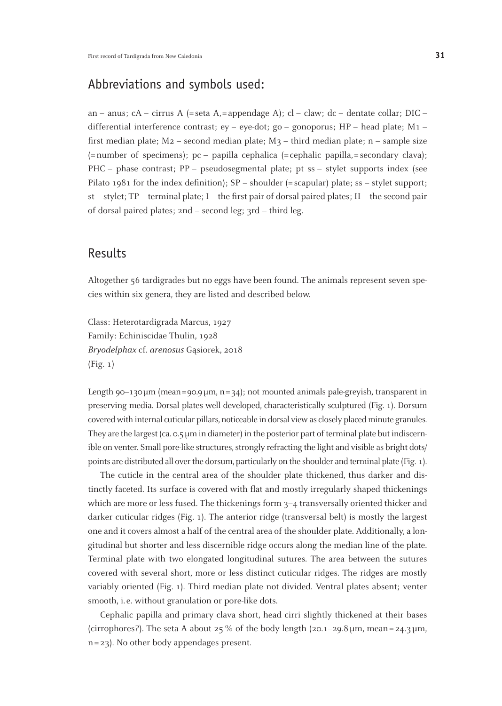# Abbreviations and symbols used:

an – anus; cA – cirrus A (= seta A, = appendage A); cl – claw; dc – dentate collar; DIC – differential interference contrast; ey – eye-dot; go – gonoporus; HP – head plate; M1 – first median plate;  $M_2$  – second median plate;  $M_3$  – third median plate; n – sample size  $(=$ number of specimens); pc – papilla cephalica  $(=$ cephalic papilla,  $=$  secondary clava); PHC – phase contrast; PP – pseudosegmental plate; pt ss – stylet supports index (see Pilato 1981 for the index definition); SP – shoulder (= scapular) plate; ss – stylet support; st – stylet; TP – terminal plate; I – the first pair of dorsal paired plates; II – the second pair of dorsal paired plates; 2nd – second leg; 3rd – third leg.

### Results

Altogether 56 tardigrades but no eggs have been found. The animals represent seven species within six genera, they are listed and described below.

Class: Heterotardigrada Marcus, 1927 Family: Echiniscidae Thulin, 1928 *Bryodelphax* cf. *arenosus* Ga˛siorek, 2018 (Fig. 1)

Length 90–130 $\mu$ m (mean=90.9 $\mu$ m, n=34); not mounted animals pale-greyish, transparent in preserving media. Dorsal plates well developed, characteristically sculptured (Fig. 1). Dorsum covered with internal cuticular pillars, noticeable in dorsal view as closely placed minute granules. They are the largest (ca. 0.5µm in diameter) in the posterior part of terminal plate but indiscernible on venter. Small pore-like structures, strongly refracting the light and visible as bright dots/ points are distributed all over the dorsum, particularly on the shoulder and terminal plate (Fig. 1).

The cuticle in the central area of the shoulder plate thickened, thus darker and distinctly faceted. Its surface is covered with flat and mostly irregularly shaped thickenings which are more or less fused. The thickenings form 3–4 transversally oriented thicker and darker cuticular ridges (Fig. 1). The anterior ridge (transversal belt) is mostly the largest one and it covers almost a half of the central area of the shoulder plate. Additionally, a longitudinal but shorter and less discernible ridge occurs along the median line of the plate. Terminal plate with two elongated longitudinal sutures. The area between the sutures covered with several short, more or less distinct cuticular ridges. The ridges are mostly variably oriented (Fig. 1). Third median plate not divided. Ventral plates absent; venter smooth, i. e. without granulation or pore-like dots.

Cephalic papilla and primary clava short, head cirri slightly thickened at their bases (cirrophores?). The seta A about 25 % of the body length (20.1–29.8  $\mu$ m, mean=24.3  $\mu$ m, n= 23). No other body appendages present.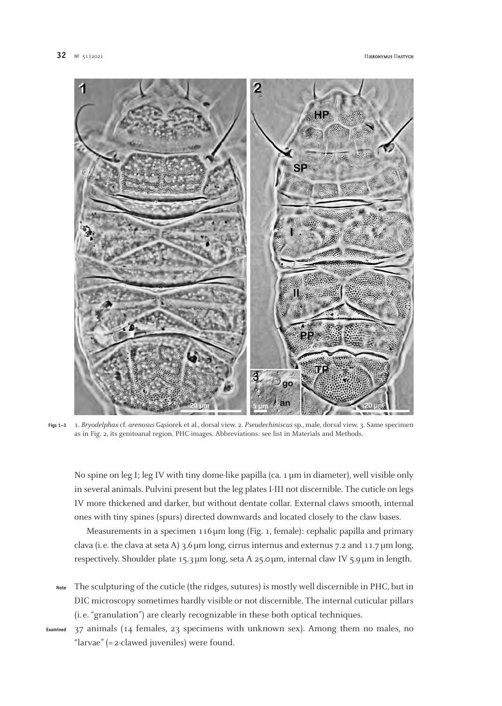

1. *Bryodelphax* cf. *arenosus* Ga˛siorek et al., dorsal view. 2. *Pseudechiniscus* sp., male, dorsal view. 3. Same specimen as in Fig. 2, its genitoanal region. PHC-images. Abbreviations: see list in Materials and Methods. **Figs 1–3**

No spine on leg I; leg IV with tiny dome-like papilla (ca. 1  $\mu$ m in diameter), well visible only in several animals. Pulvini present but the leg plates I-III not discernible. The cuticle on legs IV more thickened and darker, but without dentate collar. External claws smooth, internal ones with tiny spines (spurs) directed downwards and located closely to the claw bases.

Measurements in a specimen 116 µm long (Fig. 1, female): cephalic papilla and primary clava (i.e. the clava at seta A) 3.6µm long, cirrus internus and externus 7.2 and 11.7µm long, respectively. Shoulder plate 15.3µm long, seta A 25.0µm, internal claw IV 5.9µm in length.

- The sculpturing of the cuticle (the ridges, sutures) is mostly well discernible in PHC, but in DIC microscopy sometimes hardly visible or not discernible. The internal cuticular pillars (i. e. "granulation") are clearly recognizable in these both optical techniques. **Note**
- 37 animals (14 females, 23 specimens with unknown sex). Among them no males, no "larvae" (= 2-clawed juveniles) were found. **Examined**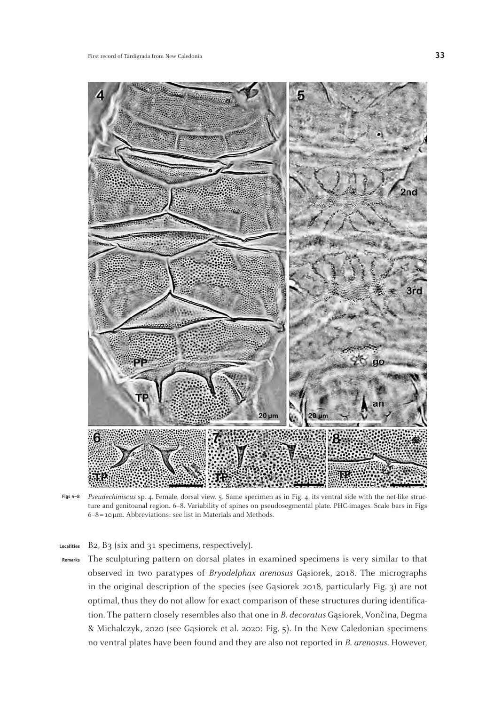

*Pseudechiniscus* sp. 4. Female, dorsal view. 5. Same specimen as in Fig. 4, its ventral side with the net-like struc-**Figs 4–8**ture and genitoanal region. 6–8. Variability of spines on pseudosegmental plate. PHC-images. Scale bars in Figs 6–8= 10µm. Abbreviations: see list in Materials and Methods.

B2, B3 (six and 31 specimens, respectively). **Localities**

The sculpturing pattern on dorsal plates in examined specimens is very similar to that observed in two paratypes of *Bryodelphax arenosus* Gasiorek, 2018. The micrographs in the original description of the species (see Gąsiorek 2018, particularly Fig. 3) are not optimal, thus they do not allow for exact comparison of these structures during identification. The pattern closely resembles also that one in *B. decoratus* Gasiorek, Vončina, Degma & Michalczyk, 2020 (see Gąsiorek et al. 2020: Fig. 5). In the New Caledonian specimens no ventral plates have been found and they are also not reported in *B. arenosus.* However, **Remarks**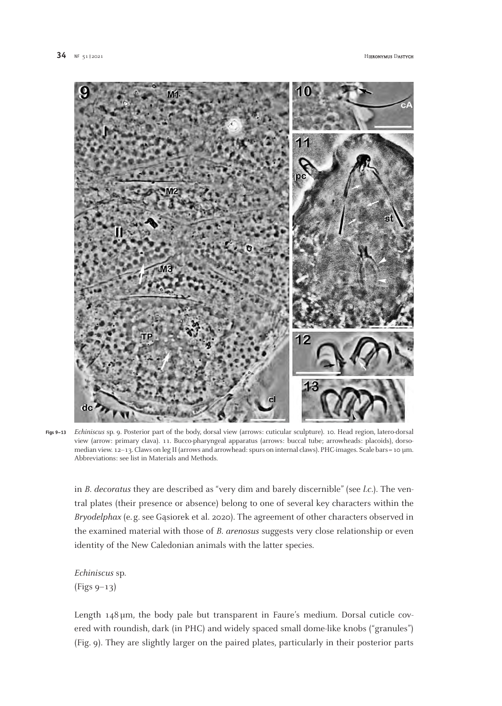

*Echiniscus* sp. 9. Posterior part of the body, dorsal view (arrows: cuticular sculpture). 10. Head region, latero-dorsal **Figs 9–13**view (arrow: primary clava). 11. Bucco-pharyngeal apparatus (arrows: buccal tube; arrowheads: placoids), dorsomedian view. 12–13. Claws on leg II (arrows and arrowhead: spurs on internal claws). PHC-images. Scale bars = 10 µm. Abbreviations: see list in Materials and Methods.

in *B. decoratus* they are described as "very dim and barely discernible" (see *l.c.*). The ventral plates (their presence or absence) belong to one of several key characters within the *Bryodelphax* (e.g. see Gasiorek et al. 2020). The agreement of other characters observed in the examined material with those of *B. arenosus* suggests very close relationship or even identity of the New Caledonian animals with the latter species.

*Echiniscus* sp. (Figs 9–13)

Length  $148 \mu m$ , the body pale but transparent in Faure's medium. Dorsal cuticle covered with roundish, dark (in PHC) and widely spaced small dome-like knobs ("granules") (Fig. 9). They are slightly larger on the paired plates, particularly in their posterior parts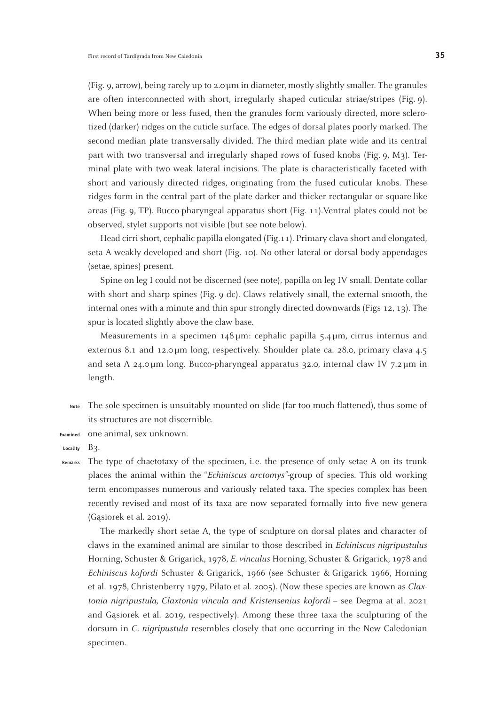(Fig. 9, arrow), being rarely up to  $2.0 \mu m$  in diameter, mostly slightly smaller. The granules are often interconnected with short, irregularly shaped cuticular striae/stripes (Fig. 9). When being more or less fused, then the granules form variously directed, more sclerotized (darker) ridges on the cuticle surface. The edges of dorsal plates poorly marked. The second median plate transversally divided. The third median plate wide and its central part with two transversal and irregularly shaped rows of fused knobs (Fig. 9, M3). Terminal plate with two weak lateral incisions. The plate is characteristically faceted with short and variously directed ridges, originating from the fused cuticular knobs. These ridges form in the central part of the plate darker and thicker rectangular or square-like areas (Fig. 9, TP). Bucco-pharyngeal apparatus short (Fig. 11).Ventral plates could not be observed, stylet supports not visible (but see note below).

Head cirri short, cephalic papilla elongated (Fig.11). Primary clava short and elongated, seta A weakly developed and short (Fig. 10). No other lateral or dorsal body appendages (setae, spines) present.

Spine on leg I could not be discerned (see note), papilla on leg IV small. Dentate collar with short and sharp spines (Fig. 9 dc). Claws relatively small, the external smooth, the internal ones with a minute and thin spur strongly directed downwards (Figs 12, 13). The spur is located slightly above the claw base.

Measurements in a specimen 148µm: cephalic papilla 5.4µm, cirrus internus and externus 8.1 and 12.0µm long, respectively. Shoulder plate ca. 28.0, primary clava 4.5 and seta A 24.0µm long. Bucco-pharyngeal apparatus 32.0, internal claw IV 7.2µm in length.

- The sole specimen is unsuitably mounted on slide (far too much flattened), thus some of its structures are not discernible. **Note**
- one animal, sex unknown. **Examined**
- $B<sub>3</sub>$ . **Locality**

The type of chaetotaxy of the specimen, i.e. the presence of only setae A on its trunk places the animal within the "*Echiniscus arctomys"*-group of species. This old working term encompasses numerous and variously related taxa. The species complex has been recently revised and most of its taxa are now separated formally into five new genera (Gasiorek et al. 2019). **Remarks**

The markedly short setae A, the type of sculpture on dorsal plates and character of claws in the examined animal are similar to those described in *Echiniscus nigripustulus* Horning, Schuster & Grigarick, 1978, *E. vinculus* Horning, Schuster & Grigarick, 1978 and *Echiniscus kofordi* Schuster & Grigarick, 1966 (see Schuster & Grigarick 1966, Horning et al. 1978, Christenberry 1979, Pilato et al. 2005). (Now these species are known as *Claxtonia nigripustula, Claxtonia vincula and Kristensenius kofordi –* see Degma at al. 2021 and Gasiorek et al. 2019, respectively). Among these three taxa the sculpturing of the dorsum in *C. nigripustula* resembles closely that one occurring in the New Caledonian specimen.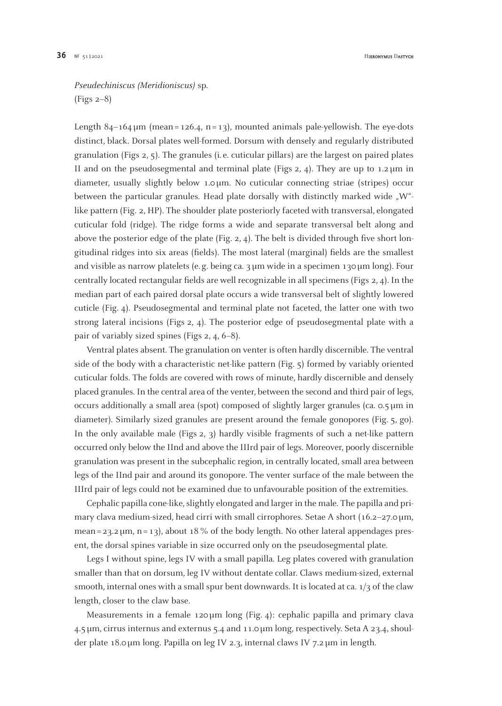## *Pseudechiniscus (Meridioniscus)* sp. (Figs 2–8)

Length  $84-164 \mu m$  (mean = 126.4, n = 13), mounted animals pale-yellowish. The eye-dots distinct, black. Dorsal plates well-formed. Dorsum with densely and regularly distributed granulation (Figs 2, 5). The granules (i. e. cuticular pillars) are the largest on paired plates II and on the pseudosegmental and terminal plate (Figs 2, 4). They are up to  $1.2 \mu m$  in diameter, usually slightly below 1.0µm. No cuticular connecting striae (stripes) occur between the particular granules. Head plate dorsally with distinctly marked wide  $N^{\mu}$ like pattern (Fig. 2, HP). The shoulder plate posteriorly faceted with transversal, elongated cuticular fold (ridge). The ridge forms a wide and separate transversal belt along and above the posterior edge of the plate (Fig.  $2$ ,  $4$ ). The belt is divided through five short longitudinal ridges into six areas (fields). The most lateral (marginal) fields are the smallest and visible as narrow platelets (e. g. being ca. 3µm wide in a specimen 130µm long). Four centrally located rectangular fields are well recognizable in all specimens (Figs 2, 4). In the median part of each paired dorsal plate occurs a wide transversal belt of slightly lowered cuticle (Fig. 4). Pseudosegmental and terminal plate not faceted, the latter one with two strong lateral incisions (Figs 2, 4). The posterior edge of pseudosegmental plate with a pair of variably sized spines (Figs 2, 4, 6–8).

Ventral plates absent. The granulation on venter is often hardly discernible. The ventral side of the body with a characteristic net-like pattern (Fig. 5) formed by variably oriented cuticular folds. The folds are covered with rows of minute, hardly discernible and densely placed granules. In the central area of the venter, between the second and third pair of legs, occurs additionally a small area (spot) composed of slightly larger granules (ca.  $\circ$ .5  $\mu$ m in diameter). Similarly sized granules are present around the female gonopores (Fig. 5, go). In the only available male (Figs 2, 3) hardly visible fragments of such a net-like pattern occurred only below the IInd and above the IIIrd pair of legs. Moreover, poorly discernible granulation was present in the subcephalic region, in centrally located, small area between legs of the IInd pair and around its gonopore. The venter surface of the male between the IIIrd pair of legs could not be examined due to unfavourable position of the extremities.

Cephalic papilla cone-like, slightly elongated and larger in the male. The papilla and primary clava medium-sized, head cirri with small cirrophores. Setae A short  $(16.2-27.0 \,\mu m,$ mean =  $23.2 \mu m$ , n =  $13$ ), about 18 % of the body length. No other lateral appendages present, the dorsal spines variable in size occurred only on the pseudosegmental plate.

Legs I without spine, legs IV with a small papilla. Leg plates covered with granulation smaller than that on dorsum, leg IV without dentate collar. Claws medium-sized, external smooth, internal ones with a small spur bent downwards. It is located at ca. 1/3 of the claw length, closer to the claw base.

Measurements in a female  $120 \mu m$  long (Fig. 4): cephalic papilla and primary clava 4.5µm, cirrus internus and externus 5.4 and 11.0µm long, respectively. Seta A 23.4, shoulder plate 18.0µm long. Papilla on leg IV 2.3, internal claws IV 7.2µm in length.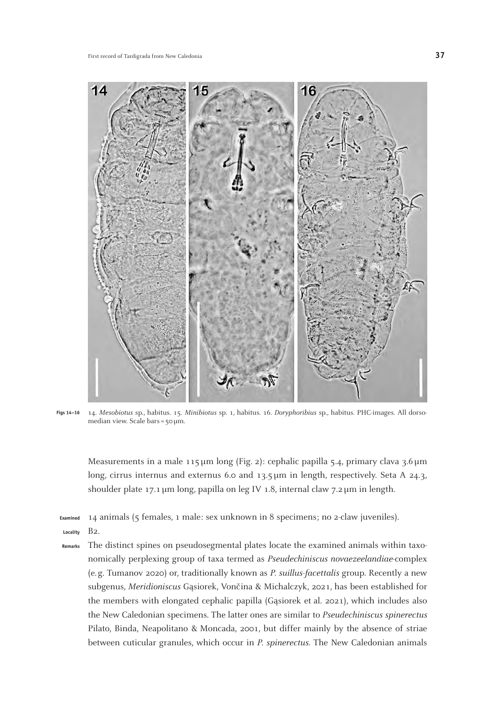

14. *Mesobiotus* sp., habitus. 15. *Minibiotus* sp. 1, habitus. 16. *Doryphoribius* sp., habitus. PHC-images. All dorsomedian view. Scale bars=50µm. **Figs 14–16**

Measurements in a male 115 µm long (Fig. 2): cephalic papilla 5.4, primary clava 3.6 µm long, cirrus internus and externus 6.0 and 13.5µm in length, respectively. Seta A 24.3, shoulder plate 17.1 µm long, papilla on leg IV 1.8, internal claw 7.2 µm in length.

14 animals (5 females, 1 male: sex unknown in 8 specimens; no 2-claw juveniles). **Examined**

- B2. **Locality**
- The distinct spines on pseudosegmental plates locate the examined animals within taxonomically perplexing group of taxa termed as *Pseudechiniscus novaezeelandiae*-complex (e.g. Tumanov 2020) or, traditionally known as *P. suillus-facettalis* group. Recently a new subgenus, *Meridioniscus* Gąsiorek, Vončina & Michalczyk, 2021, has been established for the members with elongated cephalic papilla (Gasiorek et al. 2021), which includes also the New Caledonian specimens. The latter ones are similar to *Pseudechiniscus spinerectus*  Pilato, Binda, Neapolitano & Moncada, 2001, but differ mainly by the absence of striae between cuticular granules, which occur in *P. spinerectus.* The New Caledonian animals **Remarks**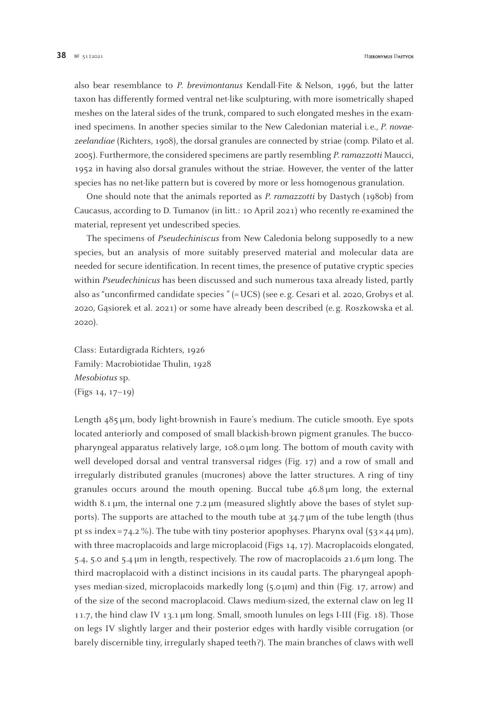also bear resemblance to *P. brevimontanus* Kendall-Fite & Nelson, 1996, but the latter taxon has differently formed ventral net-like sculpturing, with more isometrically shaped meshes on the lateral sides of the trunk, compared to such elongated meshes in the examined specimens. In another species similar to the New Caledonian material i. e., *P. novaezeelandiae* (Richters, 1908), the dorsal granules are connected by striae (comp. Pilato et al. 2005). Furthermore, the considered specimens are partly resembling *P. ramazzotti* Maucci, 1952 in having also dorsal granules without the striae. However, the venter of the latter species has no net-like pattern but is covered by more or less homogenous granulation.

One should note that the animals reported as *P. ramazzotti* by Dastych (1980b) from Caucasus, according to D. Tumanov (in litt.: 10 April 2021) who recently re-examined the material, represent yet undescribed species.

The specimens of *Pseudechiniscus* from New Caledonia belong supposedly to a new species, but an analysis of more suitably preserved material and molecular data are needed for secure identification. In recent times, the presence of putative cryptic species within *Pseudechinicus* has been discussed and such numerous taxa already listed, partly also as "unconfirmed candidate species " (= UCS) (see e. g. Cesari et al. 2020, Grobys et al. 2020, Ga˛siorek et al. 2021) or some have already been described (e. g. Roszkowska et al. 2020).

Class: Eutardigrada Richters, 1926 Family: Macrobiotidae Thulin, 1928 *Mesobiotus* sp. (Figs 14, 17–19)

Length 485 µm, body light-brownish in Faure's medium. The cuticle smooth. Eye spots located anteriorly and composed of small blackish-brown pigment granules. The buccopharyngeal apparatus relatively large, 108.0 µm long. The bottom of mouth cavity with well developed dorsal and ventral transversal ridges (Fig. 17) and a row of small and irregularly distributed granules (mucrones) above the latter structures. A ring of tiny granules occurs around the mouth opening. Buccal tube 46.8µm long, the external width 8.1  $\mu$ m, the internal one 7.2  $\mu$ m (measured slightly above the bases of stylet supports). The supports are attached to the mouth tube at  $34.7 \mu m$  of the tube length (thus pt ss index = 74.2 %). The tube with tiny posterior apophyses. Pharynx oval  $(53 \times 44 \text{ µm})$ , with three macroplacoids and large microplacoid (Figs 14, 17). Macroplacoids elongated, 5.4, 5.0 and 5.4 µm in length, respectively. The row of macroplacoids 21.6 µm long. The third macroplacoid with a distinct incisions in its caudal parts. The pharyngeal apophyses median-sized, microplacoids markedly long (5.0 µm) and thin (Fig. 17, arrow) and of the size of the second macroplacoid. Claws medium-sized, the external claw on leg II 11.7, the hind claw IV 13.1 µm long. Small, smooth lunules on legs I-III (Fig. 18). Those on legs IV slightly larger and their posterior edges with hardly visible corrugation (or barely discernible tiny, irregularly shaped teeth?). The main branches of claws with well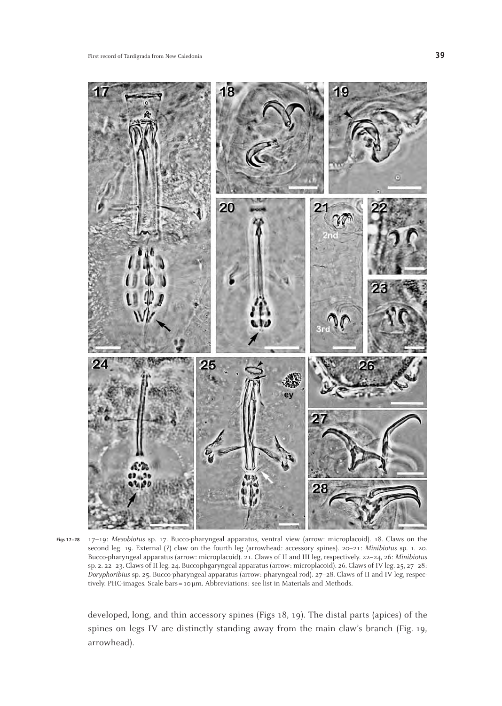

17–19: *Mesobiotus* sp. 17. Bucco-pharyngeal apparatus, ventral view (arrow: microplacoid). 18. Claws on the second leg. 19. External (?) claw on the fourth leg (arrowhead: accessory spines). 20–21: *Minibiotus* sp. 1. 20. Bucco-pharyngeal apparatus (arrow: microplacoid). 21. Claws of II and III leg, respectively. 22–24, 26: *Minibiotus* sp. 2. 22–23. Claws of II leg. 24. Buccophgaryngeal apparatus (arrow: microplacoid). 26. Claws of IV leg. 25, 27–28: *Doryphoribius* sp. 25. Bucco-pharyngeal apparatus (arrow: pharyngeal rod). 27–28. Claws of II and IV leg, respectively. PHC-images. Scale bars=10µm. Abbreviations: see list in Materials and Methods. **Figs 17–28**

developed, long, and thin accessory spines (Figs 18, 19). The distal parts (apices) of the spines on legs IV are distinctly standing away from the main claw's branch (Fig. 19, arrowhead).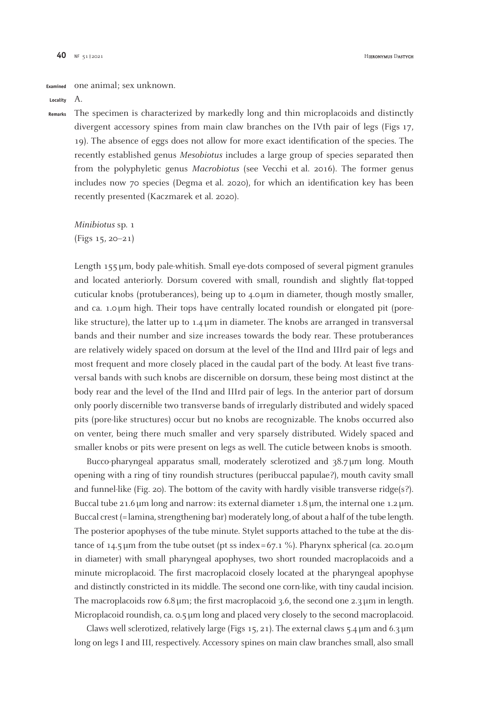one animal; sex unknown. **Examined**

A. **Locality**

The specimen is characterized by markedly long and thin microplacoids and distinctly divergent accessory spines from main claw branches on the IVth pair of legs (Figs 17, 19). The absence of eggs does not allow for more exact identification of the species. The recently established genus *Mesobiotus* includes a large group of species separated then from the polyphyletic genus *Macrobiotus* (see Vecchi et al. 2016). The former genus includes now 70 species (Degma et al. 2020), for which an identification key has been recently presented (Kaczmarek et al. 2020). **Remarks**

*Minibiotus* sp. 1 (Figs 15, 20–21)

Length 155µm, body pale-whitish. Small eye-dots composed of several pigment granules and located anteriorly. Dorsum covered with small, roundish and slightly flat-topped cuticular knobs (protuberances), being up to 4.0µm in diameter, though mostly smaller, and ca. 1.0µm high. Their tops have centrally located roundish or elongated pit (porelike structure), the latter up to  $1.4 \mu m$  in diameter. The knobs are arranged in transversal bands and their number and size increases towards the body rear. These protuberances are relatively widely spaced on dorsum at the level of the IInd and IIIrd pair of legs and most frequent and more closely placed in the caudal part of the body. At least five transversal bands with such knobs are discernible on dorsum, these being most distinct at the body rear and the level of the IInd and IIIrd pair of legs. In the anterior part of dorsum only poorly discernible two transverse bands of irregularly distributed and widely spaced pits (pore-like structures) occur but no knobs are recognizable. The knobs occurred also on venter, being there much smaller and very sparsely distributed. Widely spaced and smaller knobs or pits were present on legs as well. The cuticle between knobs is smooth.

Bucco-pharyngeal apparatus small, moderately sclerotized and 38.7µm long. Mouth opening with a ring of tiny roundish structures (peribuccal papulae?), mouth cavity small and funnel-like (Fig. 20). The bottom of the cavity with hardly visible transverse ridge( $s$ ?). Buccal tube 21.6µm long and narrow: its external diameter 1.8µm, the internal one 1.2µm. Buccal crest (=lamina, strengthening bar) moderately long, of about a half of the tube length. The posterior apophyses of the tube minute. Stylet supports attached to the tube at the distance of 14.5 µm from the tube outset (pt ss index = 67.1 %). Pharynx spherical (ca. 20.0 µm in diameter) with small pharyngeal apophyses, two short rounded macroplacoids and a minute microplacoid. The first macroplacoid closely located at the pharyngeal apophyse and distinctly constricted in its middle. The second one corn-like, with tiny caudal incision. The macroplacoids row  $6.8\,\text{\upmu m}$ ; the first macroplacoid 3.6, the second one 2.3 $\text{\upmu m}$  in length. Microplacoid roundish, ca.  $\sigma$ ,  $\mu$ m long and placed very closely to the second macroplacoid.

Claws well sclerotized, relatively large (Figs 15, 21). The external claws 5.4  $\mu$ m and 6.3  $\mu$ m long on legs I and III, respectively. Accessory spines on main claw branches small, also small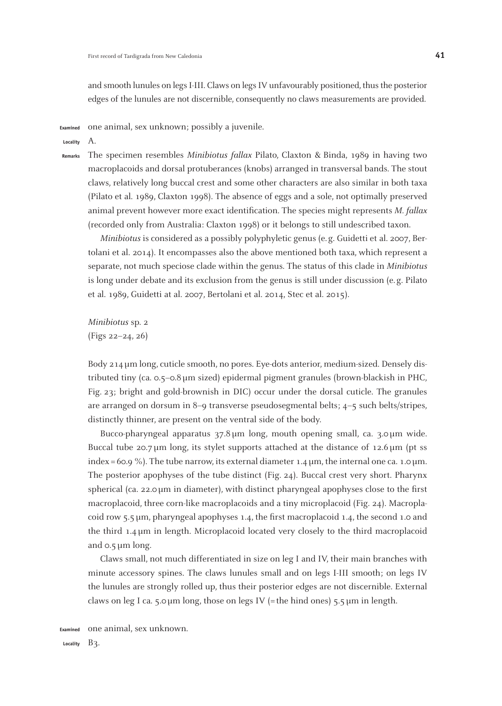and smooth lunules on legs I-III. Claws on legs IV unfavourably positioned, thus the posterior edges of the lunules are not discernible, consequently no claws measurements are provided.

one animal, sex unknown; possibly a juvenile. **Examined**

A. **Locality**

The specimen resembles *Minibiotus fallax* Pilato, Claxton & Binda, 1989 in having two macroplacoids and dorsal protuberances (knobs) arranged in transversal bands. The stout claws, relatively long buccal crest and some other characters are also similar in both taxa (Pilato et al. 1989, Claxton 1998). The absence of eggs and a sole, not optimally preserved animal prevent however more exact identification. The species might represents *M. fallax* (recorded only from Australia: Claxton 1998) or it belongs to still undescribed taxon. **Remarks**

*Minibiotus* is considered as a possibly polyphyletic genus (e. g. Guidetti et al. 2007, Bertolani et al. 2014). It encompasses also the above mentioned both taxa, which represent a separate, not much speciose clade within the genus. The status of this clade in *Minibiotus*  is long under debate and its exclusion from the genus is still under discussion (e. g. Pilato et al. 1989, Guidetti at al. 2007, Bertolani et al. 2014, Stec et al. 2015).

*Minibiotus* sp. 2 (Figs 22–24, 26)

Body 214µm long, cuticle smooth, no pores. Eye-dots anterior, medium-sized. Densely distributed tiny (ca. 0.5–0.8µm sized) epidermal pigment granules (brown-blackish in PHC, Fig. 23; bright and gold-brownish in DIC) occur under the dorsal cuticle. The granules are arranged on dorsum in 8–9 transverse pseudosegmental belts; 4–5 such belts/stripes, distinctly thinner, are present on the ventral side of the body.

Bucco-pharyngeal apparatus 37.8µm long, mouth opening small, ca. 3.0µm wide. Buccal tube 20.7  $\mu$ m long, its stylet supports attached at the distance of 12.6  $\mu$ m (pt ss index = 60.9 %). The tube narrow, its external diameter 1.4  $\mu$ m, the internal one ca. 1.0  $\mu$ m. The posterior apophyses of the tube distinct (Fig. 24). Buccal crest very short. Pharynx spherical (ca. 22.0  $\mu$ m in diameter), with distinct pharyngeal apophyses close to the first macroplacoid, three corn-like macroplacoids and a tiny microplacoid (Fig. 24). Macroplacoid row 5.5µm, pharyngeal apophyses 1.4, the first macroplacoid 1.4, the second 1.0 and the third 1.4µm in length. Microplacoid located very closely to the third macroplacoid and  $0.5 \mu m$  long.

Claws small, not much differentiated in size on leg I and IV, their main branches with minute accessory spines. The claws lunules small and on legs I-III smooth; on legs IV the lunules are strongly rolled up, thus their posterior edges are not discernible. External claws on leg I ca. 5.0  $\mu$ m long, those on legs IV (= the hind ones) 5.5  $\mu$ m in length.

one animal, sex unknown. Locality **B**3. **Examined**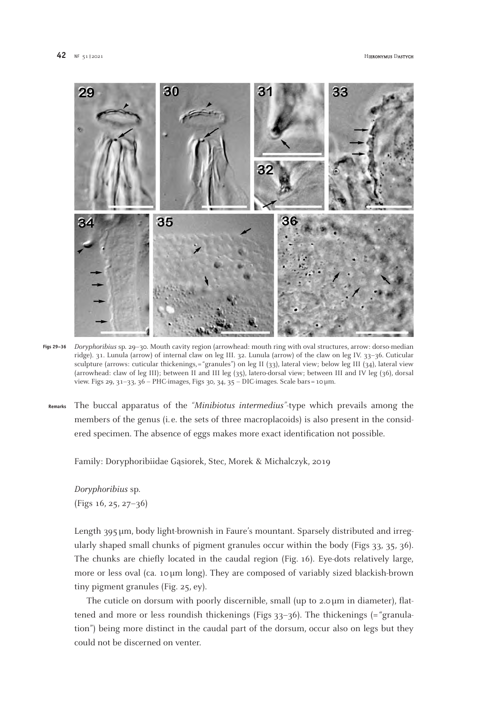

*Doryphoribius* sp. 29–30. Mouth cavity region (arrowhead: mouth ring with oval structures, arrow: dorso-median ridge). 31. Lunula (arrow) of internal claw on leg III. 32. Lunula (arrow) of the claw on leg IV. 33–36. Cuticular sculpture (arrows: cuticular thickenings,="granules") on leg II (33), lateral view; below leg III (34), lateral view (arrowhead: claw of leg III); between II and III leg (35), latero-dorsal view; between III and IV leg (36), dorsal view. Figs 29, 31–33, 36 – PHC-images, Figs 30, 34, 35 – DIC-images. Scale bars =10µm. **Figs 29–36**

The buccal apparatus of the *"Minibiotus intermedius"*-type which prevails among the members of the genus (i. e. the sets of three macroplacoids) is also present in the considered specimen. The absence of eggs makes more exact identification not possible. **Remarks**

Family: Doryphoribiidae Gąsiorek, Stec, Morek & Michalczyk, 2019

*Doryphoribius* sp. (Figs 16, 25, 27–36)

Length 395µm, body light-brownish in Faure's mountant. Sparsely distributed and irregularly shaped small chunks of pigment granules occur within the body (Figs 33, 35, 36). The chunks are chiefly located in the caudal region (Fig. 16). Eye-dots relatively large, more or less oval (ca. 10 µm long). They are composed of variably sized blackish-brown tiny pigment granules (Fig. 25, ey).

The cuticle on dorsum with poorly discernible, small (up to 2.0µm in diameter), flattened and more or less roundish thickenings (Figs  $33-36$ ). The thickenings (= "granulation") being more distinct in the caudal part of the dorsum, occur also on legs but they could not be discerned on venter.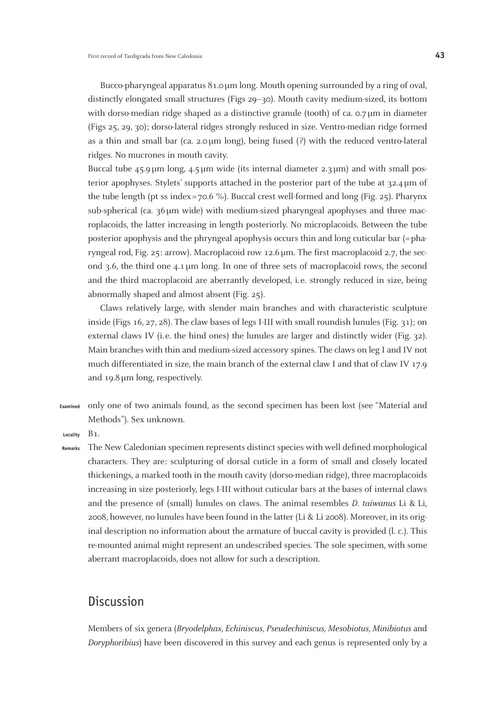Bucco-pharyngeal apparatus 81.0µm long. Mouth opening surrounded by a ring of oval, distinctly elongated small structures (Figs 29–30). Mouth cavity medium-sized, its bottom with dorso-median ridge shaped as a distinctive granule (tooth) of ca. 0.7µm in diameter (Figs 25, 29, 30); dorso-lateral ridges strongly reduced in size. Ventro-median ridge formed as a thin and small bar (ca. 2.0µm long), being fused (?) with the reduced ventro-lateral ridges. No mucrones in mouth cavity.

Buccal tube  $45.9 \mu m$  long,  $4.5 \mu m$  wide (its internal diameter  $2.3 \mu m$ ) and with small posterior apophyses. Stylets' supports attached in the posterior part of the tube at 32.4µm of the tube length (pt ss index=70.6 %). Buccal crest well-formed and long (Fig. 25). Pharynx sub-spherical (ca.  $36\,\mu\text{m}$  wide) with medium-sized pharyngeal apophyses and three macroplacoids, the latter increasing in length posteriorly. No microplacoids. Between the tube posterior apophysis and the phryngeal apophysis occurs thin and long cuticular bar (=pharyngeal rod, Fig. 25: arrow). Macroplacoid row 12.6µm. The first macroplacoid 2.7, the second 3.6, the third one 4.1µm long. In one of three sets of macroplacoid rows, the second and the third macroplacoid are aberrantly developed, i.e. strongly reduced in size, being abnormally shaped and almost absent (Fig. 25).

Claws relatively large, with slender main branches and with characteristic sculpture inside (Figs 16, 27, 28). The claw bases of legs I-III with small roundish lunules (Fig. 31); on external claws IV (i.e. the hind ones) the lunules are larger and distinctly wider (Fig. 32). Main branches with thin and medium-sized accessory spines. The claws on leg I and IV not much differentiated in size, the main branch of the external claw I and that of claw IV 17.9 and 19.8µm long, respectively.

only one of two animals found, as the second specimen has been lost (see "Material and Methods"). Sex unknown. **Examined**

B1. **Locality**

The New Caledonian specimen represents distinct species with well defined morphological characters. They are: sculpturing of dorsal cuticle in a form of small and closely located thickenings, a marked tooth in the mouth cavity (dorso-median ridge), three macroplacoids increasing in size posteriorly, legs I-III without cuticular bars at the bases of internal claws and the presence of (small) lunules on claws. The animal resembles *D. taiwanus* Li & Li, 2008, however, no lunules have been found in the latter (Li & Li 2008). Moreover, in its original description no information about the armature of buccal cavity is provided (l. c.). This re-mounted animal might represent an undescribed species. The sole specimen, with some aberrant macroplacoids, does not allow for such a description. **Remarks**

# **Discussion**

Members of six genera (*Bryodelphax, Echiniscus, Pseudechiniscus, Mesobiotus, Minibiotus* and *Doryphoribius*) have been discovered in this survey and each genus is represented only by a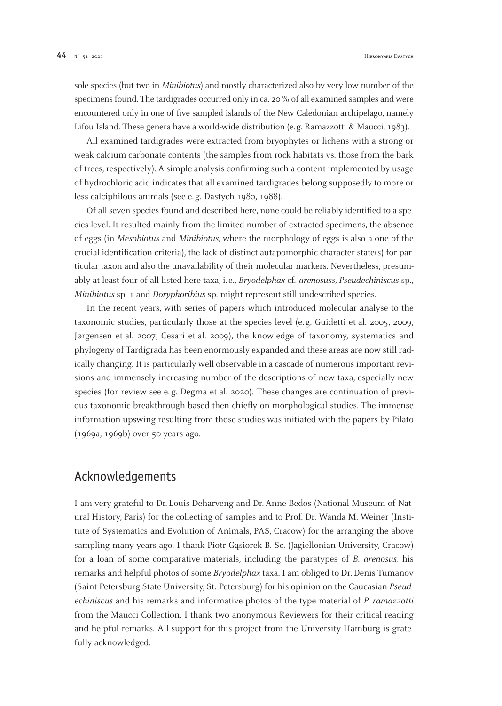sole species (but two in *Minibiotus*) and mostly characterized also by very low number of the specimens found. The tardigrades occurred only in ca. 20 % of all examined samples and were encountered only in one of five sampled islands of the New Caledonian archipelago, namely Lifou Island. These genera have a world-wide distribution (e.g. Ramazzotti & Maucci, 1983).

All examined tardigrades were extracted from bryophytes or lichens with a strong or weak calcium carbonate contents (the samples from rock habitats vs. those from the bark of trees, respectively). A simple analysis confirming such a content implemented by usage of hydrochloric acid indicates that all examined tardigrades belong supposedly to more or less calciphilous animals (see e. g. Dastych 1980, 1988).

Of all seven species found and described here, none could be reliably identified to a species level. It resulted mainly from the limited number of extracted specimens, the absence of eggs (in *Mesobiotus* and *Minibiotus,* where the morphology of eggs is also a one of the crucial identification criteria), the lack of distinct autapomorphic character state(s) for particular taxon and also the unavailability of their molecular markers. Nevertheless, presumably at least four of all listed here taxa, i. e., *Bryodelphax* cf. *arenosuss, Pseudechiniscus* sp., *Minibiotus* sp. 1 and *Doryphoribius* sp. might represent still undescribed species.

In the recent years, with series of papers which introduced molecular analyse to the taxonomic studies, particularly those at the species level (e. g. Guidetti et al. 2005, 2009, Jørgensen et al. 2007, Cesari et al. 2009), the knowledge of taxonomy, systematics and phylogeny of Tardigrada has been enormously expanded and these areas are now still radically changing. It is particularly well observable in a cascade of numerous important revisions and immensely increasing number of the descriptions of new taxa, especially new species (for review see e.g. Degma et al. 2020). These changes are continuation of previous taxonomic breakthrough based then chiefly on morphological studies. The immense information upswing resulting from those studies was initiated with the papers by Pilato (1969a, 1969b) over 50 years ago.

# Acknowledgements

I am very grateful to Dr. Louis Deharveng and Dr. Anne Bedos (National Museum of Natural History, Paris) for the collecting of samples and to Prof. Dr. Wanda M. Weiner (Institute of Systematics and Evolution of Animals, PAS, Cracow) for the arranging the above sampling many years ago. I thank Piotr Gasiorek B. Sc. (Jagiellonian University, Cracow) for a loan of some comparative materials, including the paratypes of *B. arenosus,* his remarks and helpful photos of some *Bryodelphax* taxa. I am obliged to Dr. Denis Tumanov (Saint-Petersburg State University, St. Petersburg) for his opinion on the Caucasian *Pseudechiniscus* and his remarks and informative photos of the type material of *P. ramazzotti*  from the Maucci Collection. I thank two anonymous Reviewers for their critical reading and helpful remarks. All support for this project from the University Hamburg is gratefully acknowledged.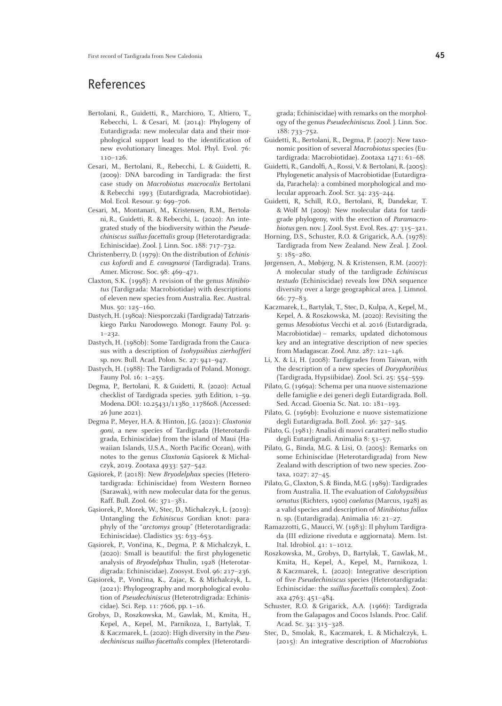# References

- Bertolani, R., Guidetti, R., Marchioro, T., Altiero, T., Rebecchi, L. & Cesari, M. (2014): Phylogeny of Eutardigrada: new molecular data and their morphological support lead to the identification of new evolutionary lineages. Mol. Phyl. Evol. 76: 110–126.
- Cesari, M., Bertolani, R., Rebecchi, L. & Guidetti, R. (2009): DNA barcoding in Tardigrada: the first case study on *Macrobiotus macrocalix* Bertolani & Rebecchi 1993 (Eutardigrada, Macrobiotidae). Mol. Ecol. Resour. 9: 699–706.
- Cesari, M., Montanari, M., Kristensen, R.M., Bertolani, R., Guidetti, R. & Rebecchi, L. (2020): An integrated study of the biodiversity within the *Pseudechiniscus suillus-facettalis* group (Heterotardigrada: Echiniscidae). Zool. J. Linn. Soc. 188: 717–732.
- Christenberry, D. (1979): On the distribution of *Echiniscus kofordi* and *E. cavagnaroi* (Tardigrada). Trans. Amer. Microsc. Soc. 98: 469–471.
- Claxton, S.K. (1998): A revision of the genus *Minibiotus* (Tardigrada: Macrobiotidae) with descriptions of eleven new species from Australia. Rec. Austral. Mus. 50: 125–160.
- Dastych, H. (1980a): Niesporczaki (Tardigrada) Tatrzańskiego Parku Narodowego. Monogr. Fauny Pol. 9: 1–232.
- Dastych, H. (1980b): Some Tardigrada from the Caucasus with a description of *Isohypsibius zierhofferi*  sp. nov. Bull. Acad. Polon. Sc. 27: 941–947.
- Dastych, H. (1988): The Tardigrada of Poland. Monogr. Fauny Pol. 16: 1–255.
- Degma, P., Bertolani, R. & Guidetti, R. (2020): Actual checklist of Tardigrada species. 39th Edition, 1–59. Modena. DOI: 10.25431/11380\_1178608. (Accessed: 26 June 2021).
- Degma P., Meyer, H.A. & Hinton, J.G. (2021): *Claxtonia goni,* a new species of Tardigrada (Heterotardigrada, Echiniscidae) from the island of Maui (Hawaiian Islands, U.S.A., North Pacific Ocean), with notes to the genus *Claxtonia* Gasiorek & Michalczyk, 2019. Zootaxa 4933: 527–542.
- Gąsiorek, P. (2018): New *Bryodelphax* species (Heterotardigrada: Echiniscidae) from Western Borneo (Sarawak), with new molecular data for the genus. Raff. Bull. Zool. 66: 371–381.
- Gąsiorek, P., Morek, W., Stec, D., Michalczyk, Ł. (2019): Untangling the *Echiniscus* Gordian knot: paraphyly of the "*arctomys* group" (Heterotardigrada: Echiniscidae). Cladistics 35: 633–653.
- Gąsiorek, P., Vončina, K., Degma, P. & Michalczyk, Ł. (2020): Small is beautiful: the first phylogenetic analysis of *Bryodelphax* Thulin, 1928 (Heterotardigrada: Echiniscidae). Zoosyst. Evol. 96: 217–236.
- Gąsiorek, P., Vončina, K., Zajac, K. & Michalczyk, Ł. (2021): Phylogeography and morphological evolution of *Pseudechiniscus* (Heterotrdigrada: Echiniscidae). Sci. Rep. 11: 7606, pp. 1–16.
- Grobys, D., Roszkowska, M., Gawlak, M., Kmita, H., Kepel, A., Kepel, M., Parnikoza, I., Bartylak, T. & Kaczmarek, Ł. (2020): High diversity in the *Pseudechiniscus suillus-facettalis* complex (Heterotardi-

grada; Echiniscidae) with remarks on the morphology of the genus *Pseudechiniscus.* Zool. J. Linn. Soc. 188: 733–752.

- Guidetti, R., Bertolani, R., Degma, P. (2007): New taxonomic position of several *Macrobiotus* species (Eutardigrada: Macrobiotidae). Zootaxa 1471: 61–68.
- Guidetti, R., Gandolfi, A., Rossi, V. & Bertolani, R. (2005): Phylogenetic analysis of Macrobiotidae (Eutardigrada, Parachela): a combined morphological and molecular approach. Zool. Scr. 34: 235–244.
- Guidetti, R, Schill, R.O., Bertolani, R, Dandekar, T. & Wolf M (2009): New molecular data for tardigrade phylogeny, with the erection of *Paramacrobiotus* gen. nov. J. Zool. Syst. Evol. Res. 47: 315–321.
- Horning, D.S., Schuster, R.O. & Grigarick, A.A. (1978): Tardigrada from New Zealand. New Zeal. J. Zool. 5: 185–280.
- Jørgensen, A., Møbjerg, N. & Kristensen, R.M. (2007): A molecular study of the tardigrade *Echiniscus testudo* (Echiniscidae) reveals low DNA sequence diversity over a large geographical area. J. Limnol. 66: 77–83.
- Kaczmarek, Ł., Bartylak, T., Stec, D., Kulpa, A., Kepel, M., Kepel, A. & Roszkowska, M. (2020): Revisiting the genus *Mesobiotus* Vecchi et al. 2016 (Eutardigrada, Macrobiotidae) – remarks, updated dichotomous key and an integrative description of new species from Madagascar. Zool. Anz. 287: 121–146.
- Li, X. & Li, H. (2008): Tardigrades from Taiwan, with the description of a new species of *Doryphoribius* (Tardigrada, Hypsiibidae). Zool. Sci. 25: 554–559.
- Pilato, G. (1969a): Schema per una nuove sistemazione delle famiglie e dei generi degli Eutardigrada. Boll. Sed. Accad. Gioenia Sc. Nat. 10: 181–193.
- Pilato, G. (1969b): Evoluzione e nuove sistematizione degli Eutardigrada. BoIl. Zool. 36: 327–345.
- Pilato, G. (1981): Analisi di nuovi caratteri nello studio degli Eutardigradi. Animalia 8: 51–57.
- Pilato, G., Binda, M.G. & Lisi, O. (2005): Remarks on some Echiniscidae (Heterotardigrada) from New Zealand with description of two new species. Zootaxa, 1027: 27–45.
- Pilato, G., Claxton, S. & Binda, M.G. (1989): Tardigrades from Australia. II. The evaluation of *Calohypsibius ornatus* (Richters, 1900) *caelatus* (Marcus, 1928) as a valid species and description of *Minibiotus fallax*  n. sp. (Eutardigrada). Animalia 16: 21–27.
- Ramazzotti, G., Maucci, W. (1983): Il phylum Tardigrada (III edizione riveduta e aggiornata). Mem. Ist. Ital. Idrobiol. 41: 1–1012.
- Roszkowska, M., Grobys, D., Bartylak, T., Gawlak, M., Kmita, H., Kepel, A., Kepel, M., Parnikoza, I. & Kaczmarek, Ł. (2020): Integrative description of five *Pseudechiniscus* species (Heterotardigrada: Echiniscidae: the *suillus-facettalis* complex). Zootaxa 4763: 451–484.
- Schuster, R.O. & Grigarick, A.A. (1966): Tardigrada from the Galapagos and Cocos Islands. Proc. Calif. Acad. Sc. 34: 315–328.
- Stec, D., Smolak, R., Kaczmarek, Ł. & Michalczyk, Ł. (2015): An integrative description of *Macrobiotus*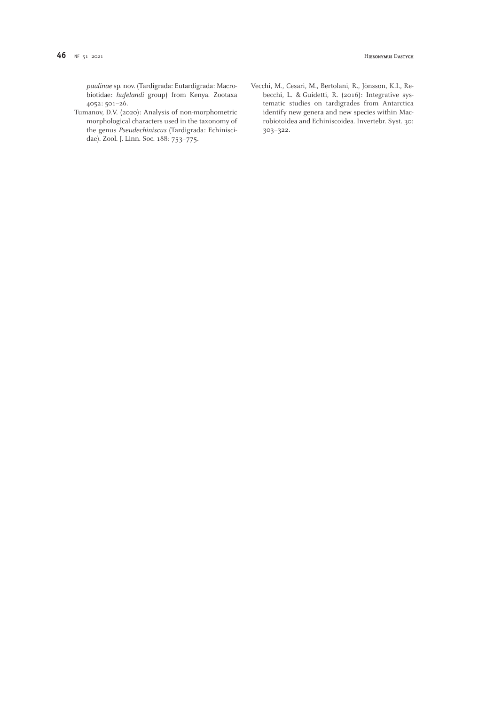*paulinae* sp. nov. (Tardigrada: Eutardigrada: Macrobiotidae: *hufelandi* group) from Kenya. Zootaxa 4052: 501–26.

- Tumanov, D.V. (2020): Analysis of non-morphometric morphological characters used in the taxonomy of the genus *Pseudechiniscus* (Tardigrada: Echiniscidae). Zool. J. Linn. Soc. 188: 753–775.
- Vecchi, M., Cesari, M., Bertolani, R., Jönsson, K.I., Rebecchi, L. & Guidetti, R. (2016): Integrative systematic studies on tardigrades from Antarctica identify new genera and new species within Macrobiotoidea and Echiniscoidea. Invertebr. Syst. 30: 303–322.